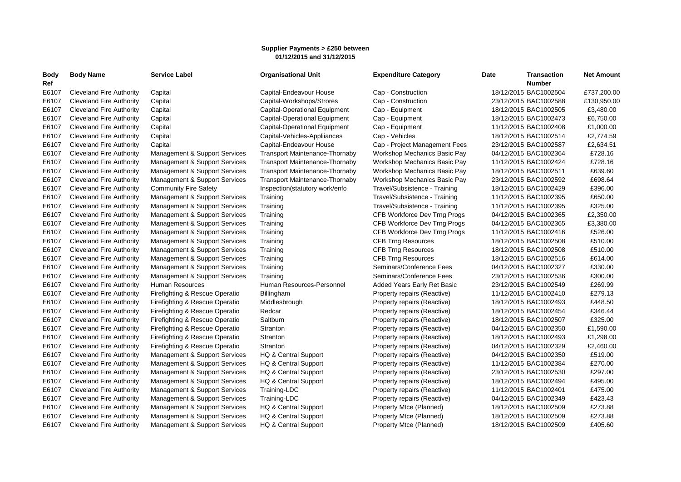## **Supplier Payments > £250 between 01/12/2015 and 31/12/2015**

| Body<br>Ref | <b>Body Name</b>                | <b>Service Label</b>           | <b>Organisational Unit</b>            | <b>Expenditure Category</b>   | Date | <b>Transaction</b><br><b>Number</b> | <b>Net Amount</b> |
|-------------|---------------------------------|--------------------------------|---------------------------------------|-------------------------------|------|-------------------------------------|-------------------|
| E6107       | Cleveland Fire Authority        | Capital                        | Capital-Endeavour House               | Cap - Construction            |      | 18/12/2015 BAC1002504               | £737,200.00       |
| E6107       | <b>Cleveland Fire Authority</b> | Capital                        | Capital-Workshops/Strores             | Cap - Construction            |      | 23/12/2015 BAC1002588               | £130,950.00       |
| E6107       | Cleveland Fire Authority        | Capital                        | Capital-Operational Equipment         | Cap - Equipment               |      | 18/12/2015 BAC1002505               | £3,480.00         |
| E6107       | Cleveland Fire Authority        | Capital                        | <b>Capital-Operational Equipment</b>  | Cap - Equipment               |      | 18/12/2015 BAC1002473               | £6,750.00         |
| E6107       | <b>Cleveland Fire Authority</b> | Capital                        | <b>Capital-Operational Equipment</b>  | Cap - Equipment               |      | 11/12/2015 BAC1002408               | £1,000.00         |
| E6107       | <b>Cleveland Fire Authority</b> | Capital                        | Capital-Vehicles-Appliiances          | Cap - Vehicles                |      | 18/12/2015 BAC1002514               | £2,774.59         |
| E6107       | <b>Cleveland Fire Authority</b> | Capital                        | Capital-Endeavour House               | Cap - Project Management Fees |      | 23/12/2015 BAC1002587               | £2,634.51         |
| E6107       | <b>Cleveland Fire Authority</b> | Management & Support Services  | <b>Transport Maintenance-Thornaby</b> | Workshop Mechanics Basic Pay  |      | 04/12/2015 BAC1002364               | £728.16           |
| E6107       | <b>Cleveland Fire Authority</b> | Management & Support Services  | <b>Transport Maintenance-Thornaby</b> | Workshop Mechanics Basic Pay  |      | 11/12/2015 BAC1002424               | £728.16           |
| E6107       | <b>Cleveland Fire Authority</b> | Management & Support Services  | <b>Transport Maintenance-Thornaby</b> | Workshop Mechanics Basic Pay  |      | 18/12/2015 BAC1002511               | £639.60           |
| E6107       | <b>Cleveland Fire Authority</b> | Management & Support Services  | <b>Transport Maintenance-Thornaby</b> | Workshop Mechanics Basic Pay  |      | 23/12/2015 BAC1002592               | £698.64           |
| E6107       | Cleveland Fire Authority        | <b>Community Fire Safety</b>   | Inspection(statutory work/enfo        | Travel/Subsistence - Training |      | 18/12/2015 BAC1002429               | £396.00           |
| E6107       | Cleveland Fire Authority        | Management & Support Services  | Training                              | Travel/Subsistence - Training |      | 11/12/2015 BAC1002395               | £650.00           |
| E6107       | <b>Cleveland Fire Authority</b> | Management & Support Services  | Training                              | Travel/Subsistence - Training |      | 11/12/2015 BAC1002395               | £325.00           |
| E6107       | <b>Cleveland Fire Authority</b> | Management & Support Services  | Training                              | CFB Workforce Dev Trng Progs  |      | 04/12/2015 BAC1002365               | £2,350.00         |
| E6107       | <b>Cleveland Fire Authority</b> | Management & Support Services  | Training                              | CFB Workforce Dev Trng Progs  |      | 04/12/2015 BAC1002365               | £3,380.00         |
| E6107       | <b>Cleveland Fire Authority</b> | Management & Support Services  | Training                              | CFB Workforce Dev Trng Progs  |      | 11/12/2015 BAC1002416               | £526.00           |
| E6107       | <b>Cleveland Fire Authority</b> | Management & Support Services  | Training                              | <b>CFB Trng Resources</b>     |      | 18/12/2015 BAC1002508               | £510.00           |
| E6107       | <b>Cleveland Fire Authority</b> | Management & Support Services  | Training                              | <b>CFB Trng Resources</b>     |      | 18/12/2015 BAC1002508               | £510.00           |
| E6107       | <b>Cleveland Fire Authority</b> | Management & Support Services  | Training                              | <b>CFB Trng Resources</b>     |      | 18/12/2015 BAC1002516               | £614.00           |
| E6107       | Cleveland Fire Authority        | Management & Support Services  | Training                              | Seminars/Conference Fees      |      | 04/12/2015 BAC1002327               | £330.00           |
| E6107       | <b>Cleveland Fire Authority</b> | Management & Support Services  | Training                              | Seminars/Conference Fees      |      | 23/12/2015 BAC1002536               | £300.00           |
| E6107       | <b>Cleveland Fire Authority</b> | Human Resources                | Human Resources-Personnel             | Added Years Early Ret Basic   |      | 23/12/2015 BAC1002549               | £269.99           |
| E6107       | <b>Cleveland Fire Authority</b> | Firefighting & Rescue Operatio | Billingham                            | Property repairs (Reactive)   |      | 11/12/2015 BAC1002410               | £279.13           |
| E6107       | <b>Cleveland Fire Authority</b> | Firefighting & Rescue Operatio | Middlesbrough                         | Property repairs (Reactive)   |      | 18/12/2015 BAC1002493               | £448.50           |
| E6107       | Cleveland Fire Authority        | Firefighting & Rescue Operatio | Redcar                                | Property repairs (Reactive)   |      | 18/12/2015 BAC1002454               | £346.44           |
| E6107       | <b>Cleveland Fire Authority</b> | Firefighting & Rescue Operatio | Saltburn                              | Property repairs (Reactive)   |      | 18/12/2015 BAC1002507               | £325.00           |
| E6107       | <b>Cleveland Fire Authority</b> | Firefighting & Rescue Operatio | Stranton                              | Property repairs (Reactive)   |      | 04/12/2015 BAC1002350               | £1,590.00         |
| E6107       | <b>Cleveland Fire Authority</b> | Firefighting & Rescue Operatio | Stranton                              | Property repairs (Reactive)   |      | 18/12/2015 BAC1002493               | £1,298.00         |
| E6107       | Cleveland Fire Authority        | Firefighting & Rescue Operatio | Stranton                              | Property repairs (Reactive)   |      | 04/12/2015 BAC1002329               | £2,460.00         |
| E6107       | Cleveland Fire Authority        | Management & Support Services  | HQ & Central Support                  | Property repairs (Reactive)   |      | 04/12/2015 BAC1002350               | £519.00           |
| E6107       | <b>Cleveland Fire Authority</b> | Management & Support Services  | HQ & Central Support                  | Property repairs (Reactive)   |      | 11/12/2015 BAC1002384               | £270.00           |
| E6107       | <b>Cleveland Fire Authority</b> | Management & Support Services  | HQ & Central Support                  | Property repairs (Reactive)   |      | 23/12/2015 BAC1002530               | £297.00           |
| E6107       | <b>Cleveland Fire Authority</b> | Management & Support Services  | HQ & Central Support                  | Property repairs (Reactive)   |      | 18/12/2015 BAC1002494               | £495.00           |
| E6107       | Cleveland Fire Authority        | Management & Support Services  | Training-LDC                          | Property repairs (Reactive)   |      | 11/12/2015 BAC1002401               | £475.00           |
| E6107       | Cleveland Fire Authority        | Management & Support Services  | Training-LDC                          | Property repairs (Reactive)   |      | 04/12/2015 BAC1002349               | £423.43           |
| E6107       | Cleveland Fire Authority        | Management & Support Services  | HQ & Central Support                  | Property Mtce (Planned)       |      | 18/12/2015 BAC1002509               | £273.88           |
| E6107       | <b>Cleveland Fire Authority</b> | Management & Support Services  | HQ & Central Support                  | Property Mtce (Planned)       |      | 18/12/2015 BAC1002509               | £273.88           |
| E6107       | Cleveland Fire Authority        | Management & Support Services  | HQ & Central Support                  | Property Mtce (Planned)       |      | 18/12/2015 BAC1002509               | £405.60           |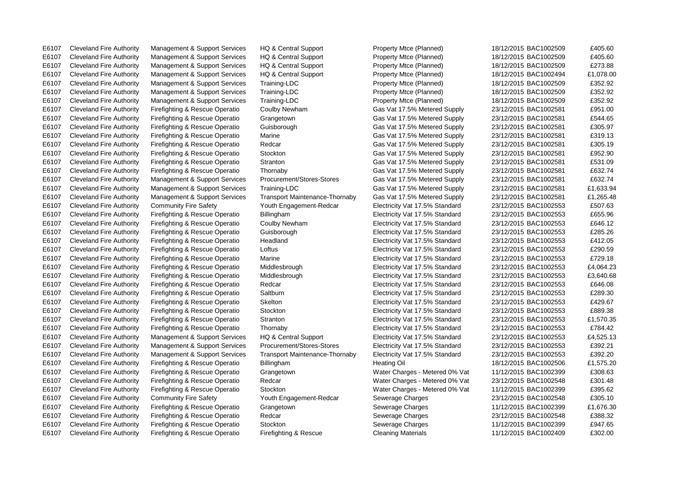E6107 Cleveland Fire Authority Firefighting & Rescue Operatio Firefighting & Rescue Cleaning Materials 11/12/2015 BAC1002409 £302.00

E6107 Cleveland Fire Authority Management & Support Services HQ & Central Support Property Mtce (Planned) 18/12/2015 BAC1002509 £405.60

E6107 Cleveland Fire Authority Management & Support Services HQ & Central Support Property Mtce (Planned) 18/12/2015 BAC1002509 £405.60 E6107 Cleveland Fire Authority Management & Support Services HQ & Central Support Property Mtce (Planned) 18/12/2015 BAC1002509 £273.88 E6107 Cleveland Fire Authority Management & Support Services HQ & Central Support Property Mtce (Planned) 18/12/2015 BAC1002494 £1,078.00 E6107 Cleveland Fire Authority Management & Support Services Training-LDC Property Mtce (Planned) 18/12/2015 BAC1002509 £352.92 E6107 Cleveland Fire Authority Management & Support Services Training-LDC Property Mtce (Planned) 18/12/2015 BAC1002509 £352.92 E6107 Cleveland Fire Authority Management & Support Services Training-LDC Property Mtce (Planned) 18/12/2015 BAC1002509 £352.92 E6107 Cleveland Fire Authority Firefighting & Rescue Operatio Coulby Newham Gas Vat 17.5% Metered Supply 23/12/2015 BAC1002581 £951.00 E6107 Cleveland Fire Authority Firefighting & Rescue Operatio Grangetown Gas Vat 17.5% Metered Supply 23/12/2015 BAC1002581 £544.65 E6107 Cleveland Fire Authority Firefighting & Rescue Operatio Guisborough Gas Vat 17.5% Metered Supply 23/12/2015 BAC1002581 £305.97 E6107 Cleveland Fire Authority Firefighting & Rescue Operatio Marine Gas Vat 17.5% Metered Supply 23/12/2015 BAC1002581 £319.13 E6107 Cleveland Fire Authority Firefighting & Rescue Operatio Redcar Gas Vat 17.5% Metered Supply 23/12/2015 BAC1002581 £305.19 E6107 Cleveland Fire Authority Firefighting & Rescue Operatio Stockton Gas Vat 17.5% Metered Supply 23/12/2015 BAC1002581 £952.90 E6107 Cleveland Fire Authority Firefighting & Rescue Operatio Stranton Gas Vat 17.5% Metered Supply 23/12/2015 BAC1002581 £531.09 E6107 Cleveland Fire Authority Firefighting & Rescue Operatio Thornaby Gas Vat 17.5% Metered Supply 23/12/2015 BAC1002581 £632.74 E6107 Cleveland Fire Authority Management & Support Services Procurement/Stores-Stores Gas Vat 17.5% Metered Supply 23/12/2015 BAC1002581 £632.74 E6107 Cleveland Fire Authority Management & Support Services Training-LDC Gas Vat 17.5% Metered Supply 23/12/2015 BAC1002581 £1,633.94 E6107 Cleveland Fire Authority Management & Support Services Transport Maintenance-Thornaby Gas Vat 17.5% Metered Supply 23/12/2015 BAC1002581 £1,265.48 E6107 Cleveland Fire Authority Community Fire Safety Youth Engagement-Redcar Electricity Vat 17.5% Standard 23/12/2015 BAC1002553 £507.63 E6107 Cleveland Fire Authority Firefighting & Rescue Operatio Billingham Electricity Vat 17.5% Standard 23/12/2015 BAC1002553 £655.96 E6107 Cleveland Fire Authority Firefighting & Rescue Operatio Coulby Newham Electricity Vat 17.5% Standard 23/12/2015 BAC1002553 £646.12 E6107 Cleveland Fire Authority Firefighting & Rescue Operatio Guisborough Electricity Vat 17.5% Standard 23/12/2015 BAC1002553 £285.26 E6107 Cleveland Fire Authority Firefighting & Rescue Operatio Headland Electricity Vat 17.5% Standard 23/12/2015 BAC1002553 £412.05 E6107 Cleveland Fire Authority Firefighting & Rescue Operatio Loftus Electricity Vat 17.5% Standard 23/12/2015 BAC1002553 £290.59 E6107 Cleveland Fire Authority Firefighting & Rescue Operatio Marine Electricity Vat 17.5% Standard 23/12/2015 BAC1002553 £729.18 E6107 Cleveland Fire Authority Firefighting & Rescue Operatio Middlesbrough Electricity Vat 17.5% Standard 23/12/2015 BAC1002553 £4,064.23 E6107 Cleveland Fire Authority Firefighting & Rescue Operatio Middlesbrough Electricity Vat 17.5% Standard 23/12/2015 BAC1002553 £3,640.68 E6107 Cleveland Fire Authority Firefighting & Rescue Operatio Redcar Electricity Vat 17.5% Standard 23/12/2015 BAC1002553 £646.08 E6107 Cleveland Fire Authority Firefighting & Rescue Operatio Saltburn Electricity Vat 17.5% Standard 23/12/2015 BAC1002553 £289.30 E6107 Cleveland Fire Authority Firefighting & Rescue Operatio Skelton Electricity Vat 17.5% Standard 23/12/2015 BAC1002553 £429.67 E6107 Cleveland Fire Authority Firefighting & Rescue Operatio Stockton Electricity Vat 17.5% Standard 23/12/2015 BAC1002553 £889.38 E6107 Cleveland Fire Authority Firefighting & Rescue Operatio Stranton Stranton Electricity Vat 17.5% Standard 23/12/2015 BAC1002553 £1,570.35 E6107 Cleveland Fire Authority Firefighting & Rescue Operatio Thornaby Electricity Vat 17.5% Standard 23/12/2015 BAC1002553 £784.42 E6107 Cleveland Fire Authority Management & Support Services HQ & Central Support Electricity Vat 17.5% Standard 23/12/2015 BAC1002553 £4,525.13 E6107 Cleveland Fire Authority Management & Support Services Procurement/Stores-Stores Electricity Vat 17.5% Standard 23/12/2015 BAC1002553 £392.21 E6107 Cleveland Fire Authority Management & Support Services Transport Maintenance-Thornaby Electricity Vat 17.5% Standard 23/12/2015 BAC1002553 £392.20 E6107 Cleveland Fire Authority Firefighting & Rescue Operatio Billingham Heating Oil Heating Oil 18/12/2015 BAC1002506 £1,575.20 E6107 Cleveland Fire Authority Firefighting & Rescue Operatio Grangetown Water Charges - Metered 0% Vat 11/12/2015 BAC1002399 £308.63 E6107 Cleveland Fire Authority Firefighting & Rescue Operatio Redcar Water Charges - Metered 0% Vat 23/12/2015 BAC1002548 £301.48 E6107 Cleveland Fire Authority Firefighting & Rescue Operatio Stockton Water Charges - Metered 0% Vat 11/12/2015 BAC1002399 £395.62 E6107 Cleveland Fire Authority Community Fire Safety Youth Engagement-Redcar Sewerage Charges 23/12/2015 BAC1002548 £305.10 E6107 Cleveland Fire Authority Firefighting & Rescue Operatio Grangetown Sewerage Charges 11/12/2015 BAC1002399 £1,676.30 E6107 Cleveland Fire Authority Firefighting & Rescue Operatio Redcar Severage Charges 23/12/2015 BAC1002548 £388.32 E6107 Cleveland Fire Authority Firefighting & Rescue Operatio Stockton Stockton Sewerage Charges 11/12/2015 BAC1002399 £947.65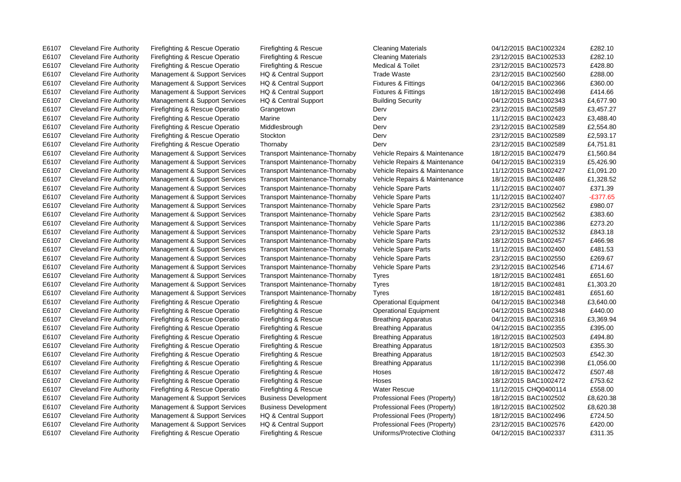E6107 Cleveland Fire Authority Firefighting & Rescue Operatio Firefighting & Rescue Cleaning Materials 04/12/2015 BAC1002324 £282.10 E6107 Cleveland Fire Authority Firefighting & Rescue Operatio Firefighting & Rescue Cleaning Materials 23/12/2015 BAC1002533 £282.10 E6107 Cleveland Fire Authority Firefighting & Rescue Operatio Firefighting & Rescue Medical & Toilet 23/12/2015 BAC1002573 £428.80 E6107 Cleveland Fire Authority Management & Support Services HQ & Central Support Trade Waste 23/12/2015 BAC1002560 £288.00 E6107 Cleveland Fire Authority Management & Support Services HQ & Central Support Fixtures & Fittings 04/12/2015 BAC1002366 £360.00 E6107 Cleveland Fire Authority Management & Support Services HQ & Central Support Fixtures & Fittings 18/12/2015 BAC1002498 £414.66 E6107 Cleveland Fire Authority Management & Support Services HQ & Central Support Building Security 04/12/2015 BAC1002343 £4,677.90 E6107 Cleveland Fire Authority Firefighting & Rescue Operatio Grangetown Derv Derv 23/12/2015 BAC1002589 £3,457.27 E6107 Cleveland Fire Authority Firefighting & Rescue Operatio Marine Derv 11/12/2015 BAC1002423 £3,488.40 E6107 Cleveland Fire Authority Firefighting & Rescue Operatio Middlesbrough Derv Derv 23/12/2015 BAC1002589 £2,554.80 E6107 Cleveland Fire Authority Firefighting & Rescue Operatio Stockton Derv Derv Derv 23/12/2015 BAC1002589 £2,593.17 E6107 Cleveland Fire Authority Firefighting & Rescue Operatio Thornaby Derv Derv Derv 23/12/2015 BAC1002589 £4,751.81 E6107 Cleveland Fire Authority Management & Support Services Transport Maintenance-Thornaby Vehicle Repairs & Maintenance 18/12/2015 BAC1002479 £1,560.84 E6107 Cleveland Fire Authority Management & Support Services Transport Maintenance-Thornaby Vehicle Repairs & Maintenance 04/12/2015 BAC1002319 £5,426.90 E6107 Cleveland Fire Authority Management & Support Services Transport Maintenance-Thornaby Vehicle Repairs & Maintenance 11/12/2015 BAC1002427 £1,091.20 E6107 Cleveland Fire Authority Management & Support Services Transport Maintenance-Thornaby Vehicle Repairs & Maintenance 18/12/2015 BAC1002486 £1,328.52 E6107 Cleveland Fire Authority Management & Support Services Transport Maintenance-Thornaby Vehicle Spare Parts 11/12/2015 BAC1002407 £371.39 E6107 Cleveland Fire Authority Management & Support Services Transport Maintenance-Thornaby Vehicle Spare Parts 11/12/2015 BAC1002407 -£377.65 E6107 Cleveland Fire Authority Management & Support Services Transport Maintenance-Thornaby Vehicle Spare Parts 23/12/2015 BAC1002562 £980.07 E6107 Cleveland Fire Authority Management & Support Services Transport Maintenance-Thornaby Vehicle Spare Parts 23/12/2015 BAC1002562 £383.60 E6107 Cleveland Fire Authority Management & Support Services Transport Maintenance-Thornaby Vehicle Spare Parts 11/12/2015 BAC1002386 £273.20 E6107 Cleveland Fire Authority Management & Support Services Transport Maintenance-Thornaby Vehicle Spare Parts 23/12/2015 BAC1002532 £843.18 E6107 Cleveland Fire Authority Management & Support Services Transport Maintenance-Thornaby Vehicle Spare Parts 18/12/2015 BAC1002457 £466.98 E6107 Cleveland Fire Authority Management & Support Services Transport Maintenance-Thornaby Vehicle Spare Parts 11/12/2015 BAC1002400 £481.53 E6107 Cleveland Fire Authority Management & Support Services Transport Maintenance-Thornaby Vehicle Spare Parts 23/12/2015 BAC1002550 £269.67 E6107 Cleveland Fire Authority Management & Support Services Transport Maintenance-Thornaby Vehicle Spare Parts 23/12/2015 BAC1002546 £714.67 E6107 Cleveland Fire Authority Management & Support Services Transport Maintenance-Thornaby Tyres 18/12/2015 BAC1002481 £651.60 E6107 Cleveland Fire Authority Management & Support Services Transport Maintenance-Thornaby Tyres 18/12/2015 BAC1002481 £1,303.20 E6107 Cleveland Fire Authority Management & Support Services Transport Maintenance-Thornaby Tyres 18/12/2015 BAC1002481 £651.60 E6107 Cleveland Fire Authority Firefighting & Rescue Operatio Firefighting & Rescue Operational Equipment 04/12/2015 BAC1002348 £3,640.00 E6107 Cleveland Fire Authority Firefighting & Rescue Operatio Firefighting & Rescue Operational Equipment 04/12/2015 BAC1002348 £440.00 E6107 Cleveland Fire Authority Firefighting & Rescue Operatio Firefighting & Rescue Breathing Apparatus 04/12/2015 BAC1002316 £3,369.94 E6107 Cleveland Fire Authority Firefighting & Rescue Operatio Firefighting & Rescue Breathing Apparatus 04/12/2015 BAC1002355 £395.00 E6107 Cleveland Fire Authority Firefighting & Rescue Operatio Firefighting & Rescue Breathing Apparatus 18/12/2015 BAC1002503 £494.80 E6107 Cleveland Fire Authority Firefighting & Rescue Operatio Firefighting & Rescue Breathing Apparatus 18/12/2015 BAC1002503 £355.30 E6107 Cleveland Fire Authority Firefighting & Rescue Operatio Firefighting & Rescue Breathing Apparatus 18/12/2015 BAC1002503 £542.30 E6107 Cleveland Fire Authority Firefighting & Rescue Operatio Firefighting & Rescue Breathing Apparatus 11/12/2015 BAC1002398 £1,056.00 E6107 Cleveland Fire Authority Firefighting & Rescue Operatio Firefighting & Rescue Hoses 18/12/2015 BAC1002472 £507.48 E6107 Cleveland Fire Authority Firefighting & Rescue Operatio Firefighting & Rescue Hoses 18/12/2015 BAC1002472 £753.62 E6107 Cleveland Fire Authority Firefighting & Rescue Operatio Firefighting & Rescue Water Rescue 11/12/2015 CHQ0400114 £558.00 E6107 Cleveland Fire Authority Management & Support Services Business Development Professional Fees (Property) 18/12/2015 BAC1002502 £8,620.38 E6107 Cleveland Fire Authority Management & Support Services Business Development Professional Fees (Property) 18/12/2015 BAC1002502 £8,620.38 E6107 Cleveland Fire Authority Management & Support Services HQ & Central Support Professional Fees (Property) 18/12/2015 BAC1002496 £724.50 E6107 Cleveland Fire Authority Management & Support Services HQ & Central Support Professional Fees (Property) 23/12/2015 BAC1002576 £420.00 E6107 Cleveland Fire Authority Firefighting & Rescue Operatio Firefighting & Rescue Uniforms/Protective Clothing 04/12/2015 BAC1002337 £311.35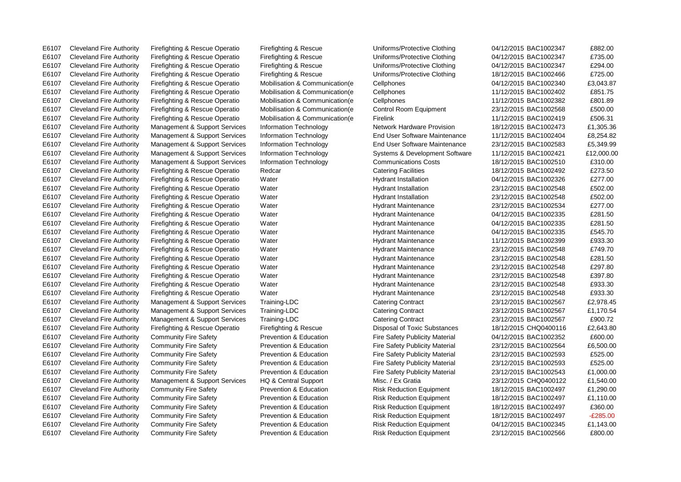E6107 Cleveland Fire Authority Firefighting & Rescue Operatio Firefighting & Rescue Uniforms/Protective Clothing 04/12/2015 BAC1002347 £882.00

E6107 Cleveland Fire Authority Firefighting & Rescue Operatio Firefighting & Rescue Uniforms/Protective Clothing 04/12/2015 BAC1002347 £735.00 E6107 Cleveland Fire Authority Firefighting & Rescue Operatio Firefighting & Rescue Uniforms/Protective Clothing 04/12/2015 BAC1002347 £294.00 E6107 Cleveland Fire Authority Firefighting & Rescue Operatio Firefighting & Rescue Uniforms/Protective Clothing 18/12/2015 BAC1002466 £725.00 E6107 Cleveland Fire Authority Firefighting & Rescue Operatio Mobilisation & Communication(e Cellphones 04/12/2015 BAC1002340 £3,043.87 E6107 Cleveland Fire Authority Firefighting & Rescue Operatio Mobilisation & Communication(e Cellphones 11/12/2015 BAC1002402 £851.75 E6107 Cleveland Fire Authority Firefighting & Rescue Operatio Mobilisation & Communication(e Cellphones 11/12/2015 BAC1002382 £801.89 E6107 Cleveland Fire Authority Firefighting & Rescue Operatio Mobilisation & Communication(e Control Room Equipment 23/12/2015 BAC1002568 £500.00 E6107 Cleveland Fire Authority Firefighting & Rescue Operatio Mobilisation & Communication e Firelink 11/12/2015 BAC1002419 £506.31 E6107 Cleveland Fire Authority Management & Support Services Information Technology Network Hardware Provision 18/12/2015 BAC1002473 £1,305.36 E6107 Cleveland Fire Authority Management & Support Services Information Technology End User Software Maintenance 11/12/2015 BAC1002404 £8.254.82 E6107 Cleveland Fire Authority Management & Support Services Information Technology End User Software Maintenance 23/12/2015 BAC1002583 £5.349.99 E6107 Cleveland Fire Authority Management & Support Services Information Technology Systems & Development Software 11/12/2015 BAC1002421 £12,000.00 E6107 Cleveland Fire Authority Management & Support Services Information Technology Communications Costs 18/12/2015 BAC1002510 £310.00 E6107 Cleveland Fire Authority Firefighting & Rescue Operatio Redcar Catering Facilities 273.50 E273.50 E6107 Cleveland Fire Authority Firefighting & Rescue Operatio Water Hydrant Installation 04/12/2015 BAC1002326 £277.00 E6107 Cleveland Fire Authority Firefighting & Rescue Operatio Water Hydrant Installation Hydrant Installation 23/12/2015 BAC1002548 £502.00 E6107 Cleveland Fire Authority Firefighting & Rescue Operatio Water Hydrant Installation 23/12/2015 BAC1002548 £502.00 E6107 Cleveland Fire Authority Firefighting & Rescue Operatio Water Hydrant Maintenance 23/12/2015 BAC1002534 £277.00 E6107 Cleveland Fire Authority Firefighting & Rescue Operatio Water Nater Hydrant Maintenance 04/12/2015 BAC1002335 £281.50 E6107 Cleveland Fire Authority Firefighting & Rescue Operatio Water Nater Hydrant Maintenance 04/12/2015 BAC1002335 £281.50 E6107 Cleveland Fire Authority Firefighting & Rescue Operatio Water Nater Hydrant Maintenance 04/12/2015 BAC1002335 £545.70 E6107 Cleveland Fire Authority Firefighting & Rescue Operatio Water Nater Hydrant Maintenance 11/12/2015 BAC1002399 £933.30 E6107 Cleveland Fire Authority Firefighting & Rescue Operatio Water Hydrant Maintenance 23/12/2015 BAC1002548 £749.70 E6107 Cleveland Fire Authority Firefighting & Rescue Operatio Water Nater Hydrant Maintenance 23/12/2015 BAC1002548 £281.50 E6107 Cleveland Fire Authority Firefighting & Rescue Operatio Water Hydrant Maintenance 23/12/2015 BAC1002548 £297.80 E6107 Cleveland Fire Authority Firefighting & Rescue Operatio Water Nater Hydrant Maintenance 23/12/2015 BAC1002548 £397.80 E6107 Cleveland Fire Authority Firefighting & Rescue Operatio Water Hydrant Maintenance 23/12/2015 BAC1002548 £933.30 E6107 Cleveland Fire Authority Firefighting & Rescue Operatio Water Hydrant Maintenance 23/12/2015 BAC1002548 £933.30 E6107 Cleveland Fire Authority Management & Support Services Training-LDC Catering Contract 23/12/2015 BAC1002567 £2,978.45 E6107 Cleveland Fire Authority Management & Support Services Training-LDC Catering Contract 23/12/2015 BAC1002567 £1,170.54 E6107 Cleveland Fire Authority Management & Support Services Training-LDC Catering Contract 23/12/2015 BAC1002567 £900.72 E6107 Cleveland Fire Authority Firefighting & Rescue Operatio Firefighting & Rescue Disposal of Toxic Substances 18/12/2015 CHQ0400116 £2,643.80 E6107 Cleveland Fire Authority Community Fire Safety Prevention & Education Fire Safety Publicity Material 04/12/2015 BAC1002352 £600.00 E6107 Cleveland Fire Authority Community Fire Safety **Prevention & Education** Fire Safety Publicity Material 23/12/2015 BAC1002564 £6,500.00 E6107 Cleveland Fire Authority Community Fire Safety Prevention & Education Fire Safety Publicity Material 23/12/2015 BAC1002593 £525.00 E6107 Cleveland Fire Authority Community Fire Safety **Prevention & Education** Fire Safety Publicity Material 23/12/2015 BAC1002593 £525.00 E6107 Cleveland Fire Authority Community Fire Safety Prevention & Education Fire Safety Publicity Material 23/12/2015 BAC1002543 £1,000,00 E6107 Cleveland Fire Authority Management & Support Services HQ & Central Support Misc. / Ex Gratia 23/12/2015 CHQ0400122 £1,540.00 E6107 Cleveland Fire Authority Community Fire Safety Prevention & Education Risk Reduction Equipment 18/12/2015 BAC1002497 £1,290.00 E6107 Cleveland Fire Authority Community Fire Safety Prevention & Education Risk Reduction Equipment 18/12/2015 BAC1002497 £1,110.00 E6107 Cleveland Fire Authority Community Fire Safety Prevention & Education Risk Reduction Equipment 18/12/2015 BAC1002497 £360.00 E6107 Cleveland Fire Authority Community Fire Safety Prevention & Education Risk Reduction Equipment 18/12/2015 BAC1002497 -£285.00 E6107 Cleveland Fire Authority Community Fire Safety Prevention & Education Risk Reduction Equipment 04/12/2015 BAC1002345 £1,143.00 E6107 Cleveland Fire Authority Community Fire Safety Prevention & Education Risk Reduction Equipment 23/12/2015 BAC1002566 £800.00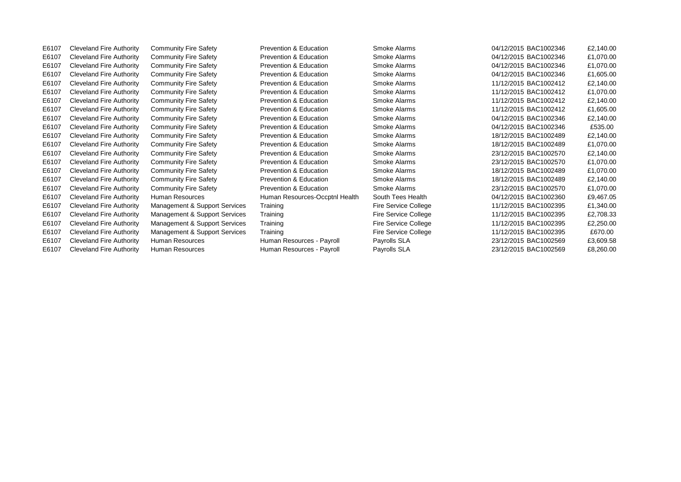E6107 Cleveland Fire Authority Community Fire Safety Prevention & Education Smoke Alarms 04/12/2015 BAC1002346 £2,140.00 E6107 Cleveland Fire Authority Community Fire Safety Prevention & Education Smoke Alarms 04/12/2015 BAC1002346 £1,070.00 E6107 Cleveland Fire Authority Community Fire Safety Prevention & Education Smoke Alarms 04/12/2015 BAC1002346 £1,070.00 E6107 Cleveland Fire Authority Community Fire Safety Prevention & Education Smoke Alarms 04/12/2015 BAC1002346 £1,605.00 E6107 Cleveland Fire Authority Community Fire Safety Prevention & Education Smoke Alarms 11/12/2015 BAC1002412 £2,140.00 E6107 Cleveland Fire Authority Community Fire Safety Prevention & Education Smoke Alarms 11/12/2015 BAC1002412 £1,070.00 E6107 Cleveland Fire Authority Community Fire Safety Prevention & Education Smoke Alarms 11/12/2015 BAC1002412 £2,140.00 E6107 Cleveland Fire Authority Community Fire Safety Prevention & Education Smoke Alarms 11/12/2015 BAC1002412 £1,605.00 E6107 Cleveland Fire Authority Community Fire Safety Prevention & Education Smoke Alarms 04/12/2015 BAC1002346 £2,140.00 E6107 Cleveland Fire Authority Community Fire Safety Prevention & Education Smoke Alarms 04/12/2015 BAC1002346 £535.00 E6107 Cleveland Fire Authority Community Fire Safety Prevention & Education Smoke Alarms 18/12/2015 BAC1002489 £2,140.00 E6107 Cleveland Fire Authority Community Fire Safety Prevention & Education Smoke Alarms 18/12/2015 BAC1002489 £1,070.00 E6107 Cleveland Fire Authority Community Fire Safety Prevention & Education Smoke Alarms 23/12/2015 BAC1002570 £2,140.00 E6107 Cleveland Fire Authority Community Fire Safety Prevention & Education Smoke Alarms 23/12/2015 BAC1002570 £1,070.00 E6107 Cleveland Fire Authority Community Fire Safety Prevention & Education Smoke Alarms 18/12/2015 BAC1002489 £1,070.00 E6107 Cleveland Fire Authority Community Fire Safety Prevention & Education Smoke Alarms 18/12/2015 BAC1002489 £2,140.00 E6107 Cleveland Fire Authority Community Fire Safety Prevention & Education Smoke Alarms 23/12/2015 BAC1002570 £1,070.00 E6107 Cleveland Fire Authority Human Resources Muman Resources-Occptnl Health South Tees Health 04/12/2015 BAC1002360 £9,467.05 E6107 Cleveland Fire Authority Management & Support Services Training Fire Service College 11/12/2015 BAC1002395 £1,340.00 E6107 Cleveland Fire Authority Management & Support Services Training Fire Service College 11/12/2015 BAC1002395 £2,708.33 E6107 Cleveland Fire Authority Management & Support Services Training Fire Service College 11/12/2015 BAC1002395 £2,250.00 E6107 Cleveland Fire Authority Management & Support Services Training Fire Service College 11/12/2015 BAC1002395 £670.00 E6107 Cleveland Fire Authority Human Resources Human Resources - Payroll Payrolls SLA 23/12/2015 BAC1002569 £3,609.58 E6107 Cleveland Fire Authority Human Resources Human Resources - Payroll Payrolls SLA 23/12/2015 BAC1002569 £8,260.00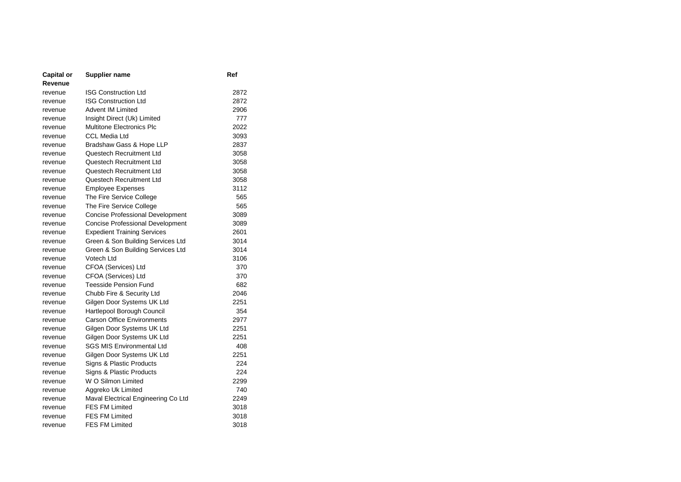| Capital or | Supplier name                           | Ref  |
|------------|-----------------------------------------|------|
| Revenue    |                                         |      |
| revenue    | <b>ISG Construction Ltd</b>             | 2872 |
| revenue    | <b>ISG Construction Ltd</b>             | 2872 |
| revenue    | <b>Advent IM Limited</b>                | 2906 |
| revenue    | Insight Direct (Uk) Limited             | 777  |
| revenue    | <b>Multitone Electronics Plc</b>        | 2022 |
| revenue    | <b>CCL Media Ltd</b>                    | 3093 |
| revenue    | Bradshaw Gass & Hope LLP                | 2837 |
| revenue    | Questech Recruitment Ltd                | 3058 |
| revenue    | Questech Recruitment Ltd                | 3058 |
| revenue    | Questech Recruitment Ltd                | 3058 |
| revenue    | Questech Recruitment Ltd                | 3058 |
| revenue    | <b>Employee Expenses</b>                | 3112 |
| revenue    | The Fire Service College                | 565  |
| revenue    | The Fire Service College                | 565  |
| revenue    | <b>Concise Professional Development</b> | 3089 |
| revenue    | <b>Concise Professional Development</b> | 3089 |
| revenue    | <b>Expedient Training Services</b>      | 2601 |
| revenue    | Green & Son Building Services Ltd       | 3014 |
| revenue    | Green & Son Building Services Ltd       | 3014 |
| revenue    | Votech Ltd                              | 3106 |
| revenue    | CFOA (Services) Ltd                     | 370  |
| revenue    | CFOA (Services) Ltd                     | 370  |
| revenue    | <b>Teesside Pension Fund</b>            | 682  |
| revenue    | Chubb Fire & Security Ltd               | 2046 |
| revenue    | Gilgen Door Systems UK Ltd              | 2251 |
| revenue    | Hartlepool Borough Council              | 354  |
| revenue    | <b>Carson Office Environments</b>       | 2977 |
| revenue    | Gilgen Door Systems UK Ltd              | 2251 |
| revenue    | Gilgen Door Systems UK Ltd              | 2251 |
| revenue    | <b>SGS MIS Environmental Ltd</b>        | 408  |
| revenue    | Gilgen Door Systems UK Ltd              | 2251 |
| revenue    | Signs & Plastic Products                | 224  |
| revenue    | Signs & Plastic Products                | 224  |
| revenue    | W O Silmon Limited                      | 2299 |
| revenue    | Aggreko Uk Limited                      | 740  |
| revenue    | Maval Electrical Engineering Co Ltd     | 2249 |
| revenue    | <b>FES FM Limited</b>                   | 3018 |
| revenue    | <b>FES FM Limited</b>                   | 3018 |
| revenue    | <b>FES FM Limited</b>                   | 3018 |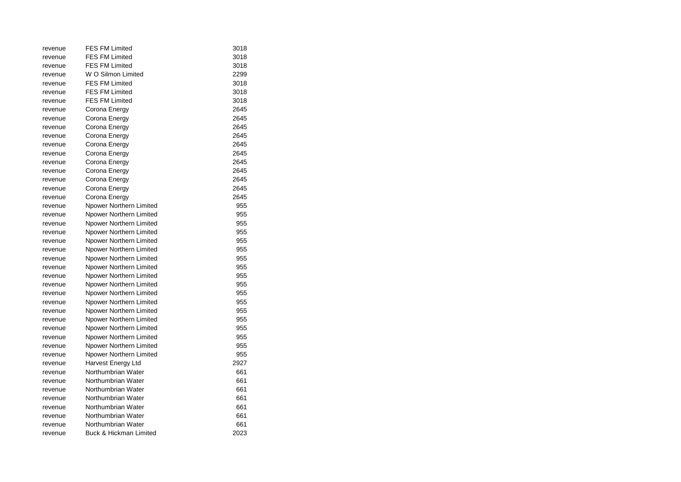| revenue | <b>FES FM Limited</b>             | 3018 |
|---------|-----------------------------------|------|
| revenue | <b>FES FM Limited</b>             | 3018 |
| revenue | <b>FES FM Limited</b>             | 3018 |
| revenue | W O Silmon Limited                | 2299 |
| revenue | <b>FES FM Limited</b>             | 3018 |
| revenue | <b>FES FM Limited</b>             | 3018 |
| revenue | <b>FES FM Limited</b>             | 3018 |
| revenue | Corona Energy                     | 2645 |
| revenue | Corona Energy                     | 2645 |
| revenue | Corona Energy                     | 2645 |
| revenue | Corona Energy                     | 2645 |
| revenue | Corona Energy                     | 2645 |
| revenue | Corona Energy                     | 2645 |
| revenue | Corona Energy                     | 2645 |
| revenue | Corona Energy                     | 2645 |
| revenue | Corona Energy                     | 2645 |
| revenue | Corona Energy                     | 2645 |
| revenue | Corona Energy                     | 2645 |
| revenue | Npower Northern Limited           | 955  |
| revenue | Npower Northern Limited           | 955  |
| revenue | Npower Northern Limited           | 955  |
| revenue | Npower Northern Limited           | 955  |
| revenue | Npower Northern Limited           | 955  |
| revenue | Npower Northern Limited           | 955  |
| revenue | Npower Northern Limited           | 955  |
| revenue | Npower Northern Limited           | 955  |
| revenue | Npower Northern Limited           | 955  |
| revenue | Npower Northern Limited           | 955  |
| revenue | Npower Northern Limited           | 955  |
| revenue | Npower Northern Limited           | 955  |
| revenue | Npower Northern Limited           | 955  |
| revenue | Npower Northern Limited           | 955  |
| revenue | Npower Northern Limited           | 955  |
| revenue | Npower Northern Limited           | 955  |
| revenue | Npower Northern Limited           | 955  |
| revenue | Npower Northern Limited           | 955  |
| revenue | Harvest Energy Ltd                | 2927 |
| revenue | Northumbrian Water                | 661  |
| revenue | Northumbrian Water                | 661  |
| revenue | Northumbrian Water                | 661  |
| revenue | Northumbrian Water                | 661  |
| revenue | Northumbrian Water                | 661  |
| revenue | Northumbrian Water                | 661  |
| revenue | Northumbrian Water                | 661  |
| revenue | <b>Buck &amp; Hickman Limited</b> | 2023 |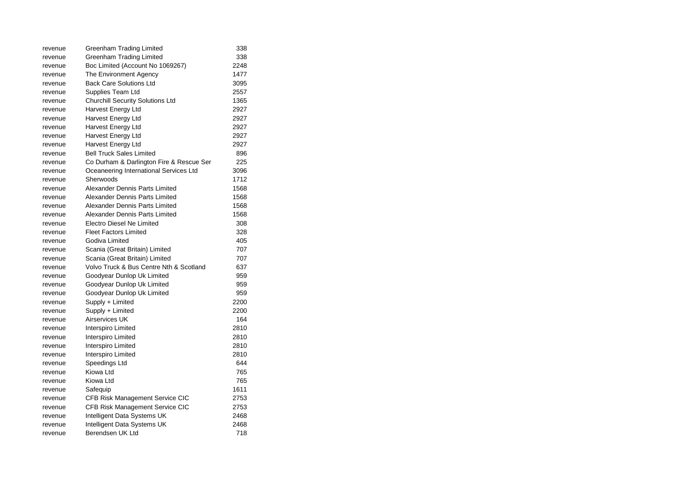| revenue | Greenham Trading Limited                 | 338  |
|---------|------------------------------------------|------|
| revenue | Greenham Trading Limited                 | 338  |
| revenue | Boc Limited (Account No 1069267)         | 2248 |
| revenue | The Environment Agency                   | 1477 |
| revenue | <b>Back Care Solutions Ltd</b>           | 3095 |
| revenue | Supplies Team Ltd                        | 2557 |
| revenue | Churchill Security Solutions Ltd         | 1365 |
| revenue | Harvest Energy Ltd                       | 2927 |
| revenue | Harvest Energy Ltd                       | 2927 |
| revenue | Harvest Energy Ltd                       | 2927 |
| revenue | Harvest Energy Ltd                       | 2927 |
| revenue | Harvest Energy Ltd                       | 2927 |
| revenue | <b>Bell Truck Sales Limited</b>          | 896  |
| revenue | Co Durham & Darlington Fire & Rescue Ser | 225  |
| revenue | Oceaneering International Services Ltd   | 3096 |
| revenue | Sherwoods                                | 1712 |
| revenue | Alexander Dennis Parts Limited           | 1568 |
| revenue | Alexander Dennis Parts Limited           | 1568 |
| revenue | Alexander Dennis Parts Limited           | 1568 |
| revenue | Alexander Dennis Parts Limited           | 1568 |
| revenue | <b>Electro Diesel Ne Limited</b>         | 308  |
| revenue | <b>Fleet Factors Limited</b>             | 328  |
| revenue | Godiva Limited                           | 405  |
| revenue | Scania (Great Britain) Limited           | 707  |
| revenue | Scania (Great Britain) Limited           | 707  |
| revenue | Volvo Truck & Bus Centre Nth & Scotland  | 637  |
| revenue | Goodyear Dunlop Uk Limited               | 959  |
| revenue | Goodyear Dunlop Uk Limited               | 959  |
| revenue | Goodyear Dunlop Uk Limited               | 959  |
| revenue | Supply + Limited                         | 2200 |
| revenue | Supply + Limited                         | 2200 |
| revenue | Airservices UK                           | 164  |
| revenue | Interspiro Limited                       | 2810 |
| revenue | Interspiro Limited                       | 2810 |
| revenue | Interspiro Limited                       | 2810 |
| revenue | Interspiro Limited                       | 2810 |
| revenue | Speedings Ltd                            | 644  |
| revenue | Kiowa Ltd                                | 765  |
| revenue | Kiowa Ltd                                | 765  |
| revenue | Safequip                                 | 1611 |
| revenue | CFB Risk Management Service CIC          | 2753 |
| revenue | CFB Risk Management Service CIC          | 2753 |
| revenue | Intelligent Data Systems UK              | 2468 |
| revenue | Intelligent Data Systems UK              | 2468 |
| revenue | Berendsen UK Ltd                         | 718  |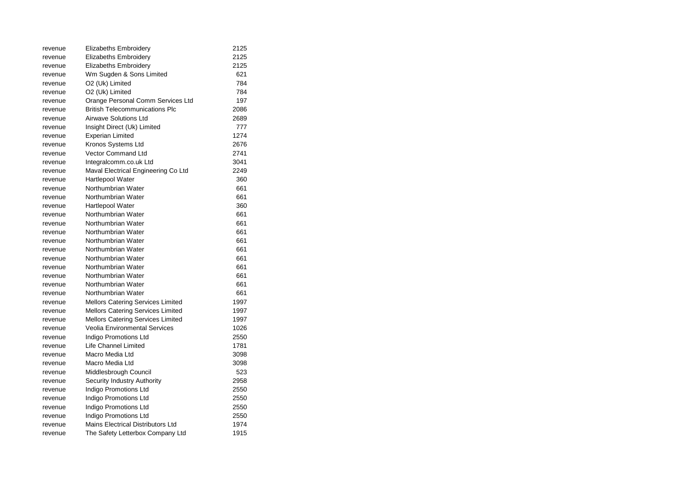| revenue | Elizabeths Embroidery                    | 2125 |
|---------|------------------------------------------|------|
| revenue | <b>Elizabeths Embroidery</b>             | 2125 |
| revenue | Elizabeths Embroidery                    | 2125 |
| revenue | Wm Sugden & Sons Limited                 | 621  |
| revenue | O2 (Uk) Limited                          | 784  |
| revenue | O2 (Uk) Limited                          | 784  |
| revenue | Orange Personal Comm Services Ltd        | 197  |
| revenue | <b>British Telecommunications Plc</b>    | 2086 |
| revenue | Airwave Solutions Ltd                    | 2689 |
| revenue | Insight Direct (Uk) Limited              | 777  |
| revenue | Experian Limited                         | 1274 |
| revenue | Kronos Systems Ltd                       | 2676 |
| revenue | <b>Vector Command Ltd</b>                | 2741 |
| revenue | Integralcomm.co.uk Ltd                   | 3041 |
| revenue | Maval Electrical Engineering Co Ltd      | 2249 |
| revenue | Hartlepool Water                         | 360  |
| revenue | Northumbrian Water                       | 661  |
| revenue | Northumbrian Water                       | 661  |
| revenue | Hartlepool Water                         | 360  |
| revenue | Northumbrian Water                       | 661  |
| revenue | Northumbrian Water                       | 661  |
| revenue | Northumbrian Water                       | 661  |
| revenue | Northumbrian Water                       | 661  |
| revenue | Northumbrian Water                       | 661  |
| revenue | Northumbrian Water                       | 661  |
| revenue | Northumbrian Water                       | 661  |
| revenue | Northumbrian Water                       | 661  |
| revenue | Northumbrian Water                       | 661  |
| revenue | Northumbrian Water                       | 661  |
| revenue | <b>Mellors Catering Services Limited</b> | 1997 |
| revenue | Mellors Catering Services Limited        | 1997 |
| revenue | <b>Mellors Catering Services Limited</b> | 1997 |
| revenue | Veolia Environmental Services            | 1026 |
| revenue | Indigo Promotions Ltd                    | 2550 |
| revenue | Life Channel Limited                     | 1781 |
| revenue | Macro Media Ltd                          | 3098 |
| revenue | Macro Media Ltd                          | 3098 |
| revenue | Middlesbrough Council                    | 523  |
| revenue | Security Industry Authority              | 2958 |
| revenue | Indigo Promotions Ltd                    | 2550 |
| revenue | Indigo Promotions Ltd                    | 2550 |
| revenue | Indigo Promotions Ltd                    | 2550 |
| revenue | <b>Indigo Promotions Ltd</b>             | 2550 |
| revenue | Mains Electrical Distributors Ltd        | 1974 |
| revenue | The Safety Letterbox Company Ltd         | 1915 |